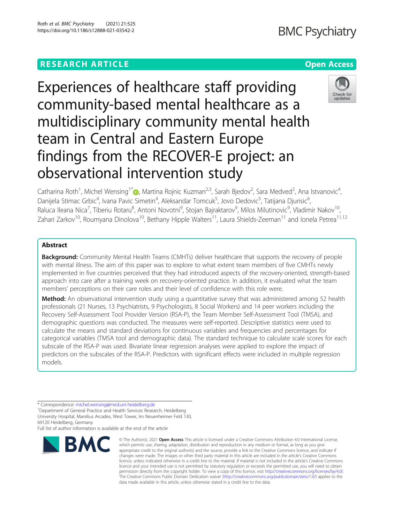# **RESEARCH ARTICLE Example 2014 12:30 The Contract of Contract ACCESS**

# **BMC Psychiatry**

# Experiences of healthcare staff providing community-based mental healthcare as a multidisciplinary community mental health team in Central and Eastern Europe findings from the RECOVER-E project: an observational intervention study



Catharina Roth<sup>1</sup>[,](http://orcid.org/0000-0001-6569-8137) Michel Wensing<sup>1\*</sup>®, Martina Rojnic Kuzman<sup>2,3</sup>, Sarah Bjedov<sup>2</sup>, Sara Medved<sup>2</sup>, Ana Istvanovic<sup>4</sup> , Danijela Stimac Grbic<sup>4</sup>, Ivana Pavic Simetin<sup>4</sup>, Aleksandar Tomcuk<sup>5</sup>, Jovo Dedovic<sup>5</sup>, Tatijana Djurisic<sup>6</sup> , Raluca Ileana Nica<sup>7</sup>, Tiberiu Rotaru<sup>8</sup>, Antoni Novotni<sup>9</sup>, Stojan Bajraktarov<sup>9</sup>, Milos Milutinovic<sup>9</sup>, Vladimir Nakov<sup>10</sup>, Zahari Zarkov<sup>10</sup>, Roumyana Dinolova<sup>10</sup>, Bethany Hipple Walters<sup>11</sup>, Laura Shields-Zeeman<sup>11</sup> and Ionela Petrea<sup>11,12</sup>

# Abstract

**Background:** Community Mental Health Teams (CMHTs) deliver healthcare that supports the recovery of people with mental illness. The aim of this paper was to explore to what extent team members of five CMHTs newly implemented in five countries perceived that they had introduced aspects of the recovery-oriented, strength-based approach into care after a training week on recovery-oriented practice. In addition, it evaluated what the team members' perceptions on their care roles and their level of confidence with this role were.

Method: An observational intervention study using a quantitative survey that was administered among 52 health professionals (21 Nurses, 13 Psychiatrists, 9 Psychologists, 8 Social Workers) and 14 peer workers including the Recovery Self-Assessment Tool Provider Version (RSA-P), the Team Member Self-Assessment Tool (TMSA), and demographic questions was conducted. The measures were self-reported. Descriptive statistics were used to calculate the means and standard deviations for continuous variables and frequencies and percentages for categorical variables (TMSA tool and demographic data). The standard technique to calculate scale scores for each subscale of the RSA-P was used. Bivariate linear regression analyses were applied to explore the impact of predictors on the subscales of the RSA-P. Predictors with significant effects were included in multiple regression models.

69120 Heidelberg, Germany

Full list of author information is available at the end of the article



<sup>©</sup> The Author(s), 2021 **Open Access** This article is licensed under a Creative Commons Attribution 4.0 International License, which permits use, sharing, adaptation, distribution and reproduction in any medium or format, as long as you give appropriate credit to the original author(s) and the source, provide a link to the Creative Commons licence, and indicate if changes were made. The images or other third party material in this article are included in the article's Creative Commons licence, unless indicated otherwise in a credit line to the material. If material is not included in the article's Creative Commons licence and your intended use is not permitted by statutory regulation or exceeds the permitted use, you will need to obtain permission directly from the copyright holder. To view a copy of this licence, visit [http://creativecommons.org/licenses/by/4.0/.](http://creativecommons.org/licenses/by/4.0/) The Creative Commons Public Domain Dedication waiver [\(http://creativecommons.org/publicdomain/zero/1.0/](http://creativecommons.org/publicdomain/zero/1.0/)) applies to the data made available in this article, unless otherwise stated in a credit line to the data.

<sup>\*</sup> Correspondence: [michel.wensing@med.uni-heidelberg.de](mailto:michel.wensing@med.uni-heidelberg.de) <sup>1</sup> <sup>1</sup>Department of General Practice and Health Services Research, Heidelberg University Hospital, Marsilius Arcades, West Tower, Im Neuenheimer Feld 130,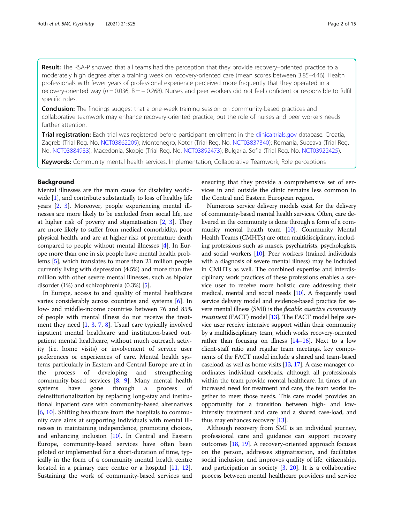Result: The RSA-P showed that all teams had the perception that they provide recovery–oriented practice to a moderately high degree after a training week on recovery-oriented care (mean scores between 3.85–4.46). Health professionals with fewer years of professional experience perceived more frequently that they operated in a recovery-oriented way ( $p = 0.036$ ,  $B = -0.268$ ). Nurses and peer workers did not feel confident or responsible to fulfil specific roles.

**Conclusion:** The findings suggest that a one-week training session on community-based practices and collaborative teamwork may enhance recovery-oriented practice, but the role of nurses and peer workers needs further attention.

Trial registration: Each trial was registered before participant enrolment in the [clinicaltrials.gov](http://clinicaltrials.gov) database: Croatia, Zagreb (Trial Reg. No. [NCT03862209](https://clinicaltrials.gov/ct2/show/NCT03862209?term=NCT03862209&draw=2&rank=1)); Montenegro, Kotor (Trial Reg. No. [NCT03837340\)](https://clinicaltrials.gov/ct2/show/NCT03837340); Romania, Suceava (Trial Reg. No. [NCT03884933](https://clinicaltrials.gov/ct2/show/NCT03884933?term=NCT03884933&draw=2&rank=1)); Macedonia, Skopje (Trial Reg. No. [NCT03892473\)](https://clinicaltrials.gov/ct2/show/NCT03892473?term=NCT03892473&draw=2&rank=1); Bulgaria, Sofia (Trial Reg. No. [NCT03922425](https://clinicaltrials.gov/ct2/show/NCT03922425?term=NCT03922425&draw=2&rank=1)).

Keywords: Community mental health services, Implementation, Collaborative Teamwork, Role perceptions

#### Background

Mental illnesses are the main cause for disability world-wide [\[1](#page-13-0)], and contribute substantially to loss of healthy life years [\[2](#page-13-0), [3](#page-13-0)]. Moreover, people experiencing mental illnesses are more likely to be excluded from social life, are at higher risk of poverty and stigmatisation [[2,](#page-13-0) [3\]](#page-13-0). They are more likely to suffer from medical comorbidity, poor physical health, and are at higher risk of premature death compared to people without mental illnesses [[4\]](#page-13-0). In Europe more than one in six people have mental health problems [[5](#page-13-0)], which translates to more than 21 million people currently living with depression (4.5%) and more than five million with other severe mental illnesses, such as bipolar disorder (1%) and schizophrenia (0.3%) [\[5](#page-13-0)].

In Europe, access to and quality of mental healthcare varies considerably across countries and systems [[6\]](#page-13-0). In low- and middle-income countries between 76 and 85% of people with mental illness do not receive the treatment they need [[1,](#page-13-0) [3](#page-13-0), [7](#page-13-0), [8\]](#page-13-0). Usual care typically involved inpatient mental healthcare and institution-based outpatient mental healthcare, without much outreach activity (i.e. home visits) or involvement of service user preferences or experiences of care. Mental health systems particularly in Eastern and Central Europe are at in the process of developing and strengthening community-based services [\[8](#page-13-0), [9\]](#page-13-0). Many mental health systems have gone through a process of deinstitutionalization by replacing long-stay and institutional inpatient care with community-based alternatives [[6,](#page-13-0) [10\]](#page-13-0). Shifting healthcare from the hospitals to community care aims at supporting individuals with mental illnesses in maintaining independence, promoting choices, and enhancing inclusion [[10\]](#page-13-0). In Central and Eastern Europe, community-based services have often been piloted or implemented for a short-duration of time, typically in the form of a community mental health centre located in a primary care centre or a hospital [\[11](#page-13-0), [12](#page-13-0)]. Sustaining the work of community-based services and

ensuring that they provide a comprehensive set of services in and outside the clinic remains less common in the Central and Eastern European region.

Numerous service delivery models exist for the delivery of community-based mental health services. Often, care delivered in the community is done through a form of a community mental health team [[10\]](#page-13-0). Community Mental Health Teams (CMHTs) are often multidisciplinary, including professions such as nurses, psychiatrists, psychologists, and social workers [\[10\]](#page-13-0). Peer workers (trained individuals with a diagnosis of severe mental illness) may be included in CMHTs as well. The combined expertise and interdisciplinary work practices of these professions enables a service user to receive more holistic care addressing their medical, mental and social needs [\[10](#page-13-0)]. A frequently used service delivery model and evidence-based practice for severe mental illness (SMI) is the flexible assertive community treatment (FACT) model [[13](#page-13-0)]. The FACT model helps service user receive intensive support within their community by a multidisciplinary team, which works recovery-oriented rather than focusing on illness  $[14–16]$  $[14–16]$  $[14–16]$ . Next to a low client-staff ratio and regular team meetings, key components of the FACT model include a shared and team-based caseload, as well as home visits [\[13,](#page-13-0) [17\]](#page-13-0). A case manager coordinates individual caseloads, although all professionals within the team provide mental healthcare. In times of an increased need for treatment and care, the team works together to meet those needs. This care model provides an opportunity for a transition between high- and lowintensity treatment and care and a shared case-load, and thus may enhances recovery [[13](#page-13-0)].

Although recovery from SMI is an individual journey, professional care and guidance can support recovery outcomes [\[18](#page-13-0), [19](#page-13-0)]. A recovery-oriented approach focuses on the person, addresses stigmatisation, and facilitates social inclusion, and improves quality of life, citizenship, and participation in society [[3,](#page-13-0) [20\]](#page-13-0). It is a collaborative process between mental healthcare providers and service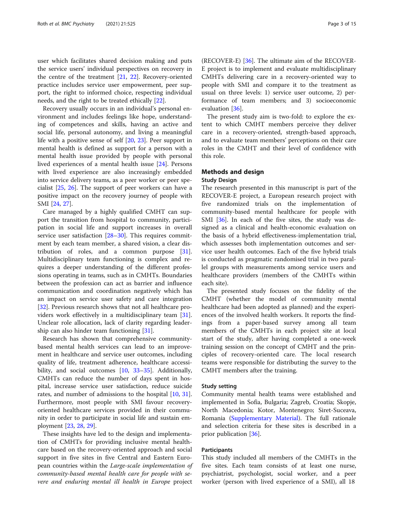user which facilitates shared decision making and puts the service users' individual perspectives on recovery in the centre of the treatment [\[21](#page-13-0), [22\]](#page-13-0). Recovery-oriented practice includes service user empowerment, peer support, the right to informed choice, respecting individual needs, and the right to be treated ethically [\[22\]](#page-13-0).

Recovery usually occurs in an individual's personal environment and includes feelings like hope, understanding of competences and skills, having an active and social life, personal autonomy, and living a meaningful life with a positive sense of self [[20](#page-13-0), [23\]](#page-13-0). Peer support in mental health is defined as support for a person with a mental health issue provided by people with personal lived experiences of a mental health issue [[24\]](#page-13-0). Persons with lived experience are also increasingly embedded into service delivery teams, as a peer worker or peer specialist [\[25,](#page-13-0) [26](#page-13-0)]. The support of peer workers can have a positive impact on the recovery journey of people with SMI [\[24](#page-13-0), [27\]](#page-13-0).

Care managed by a highly qualified CMHT can support the transition from hospital to community, participation in social life and support increases in overall service user satisfaction [[28](#page-13-0)–[30](#page-13-0)]. This requires commitment by each team member, a shared vision, a clear distribution of roles, and a common purpose [\[31](#page-13-0)]. Multidisciplinary team functioning is complex and requires a deeper understanding of the different professions operating in teams, such as in CMHTs. Boundaries between the profession can act as barrier and influence communication and coordination negatively which has an impact on service user safety and care integration [[32\]](#page-13-0). Previous research shows that not all healthcare providers work effectively in a multidisciplinary team [\[31](#page-13-0)]. Unclear role allocation, lack of clarity regarding leadership can also hinder team functioning [\[31\]](#page-13-0).

Research has shown that comprehensive communitybased mental health services can lead to an improvement in healthcare and service user outcomes, including quality of life, treatment adherence, healthcare accessi-bility, and social outcomes [[10](#page-13-0), [33](#page-13-0)–[35\]](#page-14-0). Additionally, CMHTs can reduce the number of days spent in hospital, increase service user satisfaction, reduce suicide rates, and number of admissions to the hospital [\[10](#page-13-0), [31](#page-13-0)]. Furthermore, most people with SMI favour recoveryoriented healthcare services provided in their community in order to participate in social life and sustain employment [\[23](#page-13-0), [28,](#page-13-0) [29\]](#page-13-0).

These insights have led to the design and implementation of CMHTs for providing inclusive mental healthcare based on the recovery-oriented approach and social support in five sites in five Central and Eastern European countries within the Large-scale implementation of community-based mental health care for people with severe and enduring mental ill health in Europe project

(RECOVER-E) [[36\]](#page-14-0). The ultimate aim of the RECOVER-E project is to implement and evaluate multidisciplinary CMHTs delivering care in a recovery-oriented way to people with SMI and compare it to the treatment as usual on three levels: 1) service user outcome, 2) performance of team members; and 3) socioeconomic evaluation [[36](#page-14-0)].

The present study aim is two-fold: to explore the extent to which CMHT members perceive they deliver care in a recovery-oriented, strength-based approach, and to evaluate team members' perceptions on their care roles in the CMHT and their level of confidence with this role.

# Methods and design

# Study Design

The research presented in this manuscript is part of the RECOVER-E project, a European research project with five randomized trials on the implementation of community-based mental healthcare for people with SMI [\[36\]](#page-14-0). In each of the five sites, the study was designed as a clinical and health-economic evaluation on the basis of a hybrid effectiveness-implementation trial, which assesses both implementation outcomes and service user health outcomes. Each of the five hybrid trials is conducted as pragmatic randomised trial in two parallel groups with measurements among service users and healthcare providers (members of the CMHTs within each site).

The presented study focuses on the fidelity of the CMHT (whether the model of community mental healthcare had been adopted as planned) and the experiences of the involved health workers. It reports the findings from a paper-based survey among all team members of the CMHTs in each project site at local start of the study, after having completed a one-week training session on the concept of CMHT and the principles of recovery-oriented care. The local research teams were responsible for distributing the survey to the CMHT members after the training.

#### Study setting

Community mental health teams were established and implemented in Sofia, Bulgaria; Zagreb, Croatia; Skopje, North Macedonia; Kotor, Montenegro; Siret-Suceava, Romania ([Supplementary Material\)](#page-12-0). The full rationale and selection criteria for these sites is described in a prior publication [[36\]](#page-14-0).

#### Participants

This study included all members of the CMHTs in the five sites. Each team consists of at least one nurse, psychiatrist, psychologist, social worker, and a peer worker (person with lived experience of a SMI), all 18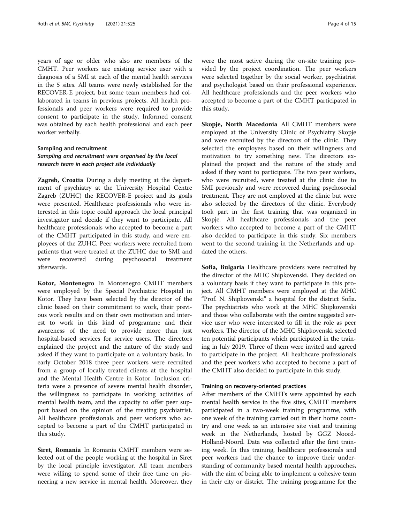years of age or older who also are members of the CMHT. Peer workers are existing service user with a diagnosis of a SMI at each of the mental health services in the 5 sites. All teams were newly established for the RECOVER-E project, but some team members had collaborated in teams in previous projects. All health professionals and peer workers were required to provide consent to participate in the study. Informed consent was obtained by each health professional and each peer worker verbally.

# Sampling and recruitment Sampling and recruitment were organised by the local research team in each project site individually

Zagreb, Croatia During a daily meeting at the department of psychiatry at the University Hospital Centre Zagreb (ZUHC) the RECOVER-E project and its goals were presented. Healthcare professionals who were interested in this topic could approach the local principal investigator and decide if they want to participate. All healthcare professionals who accepted to become a part of the CMHT participated in this study, and were employees of the ZUHC. Peer workers were recruited from patients that were treated at the ZUHC due to SMI and were recovered during psychosocial treatment afterwards.

Kotor, Montenegro In Montenegro CMHT members were employed by the Special Psychiatric Hospital in Kotor. They have been selected by the director of the clinic based on their commitment to work, their previous work results and on their own motivation and interest to work in this kind of programme and their awareness of the need to provide more than just hospital-based services for service users. The directors explained the project and the nature of the study and asked if they want to participate on a voluntary basis. In early October 2018 three peer workers were recruited from a group of locally treated clients at the hospital and the Mental Health Centre in Kotor. Inclusion criteria were a presence of severe mental health disorder, the willingness to participate in working activities of mental health team, and the capacity to offer peer support based on the opinion of the treating psychiatrist. All healthcare proffesionals and peer workers who accepted to become a part of the CMHT participated in this study.

Siret, Romania In Romania CMHT members were selected out of the people working at the hospital in Siret by the local principle investigator. All team members were willing to spend some of their free time on pioneering a new service in mental health. Moreover, they were the most active during the on-site training provided by the project coordination. The peer workers were selected together by the social worker, psychiatrist and psychologist based on their professional experience. All healthcare professionals and the peer workers who accepted to become a part of the CMHT participated in this study.

Skopje, North Macedonia All CMHT members were employed at the University Clinic of Psychiatry Skopje and were recruited by the directors of the clinic. They selected the employees based on their willingness and motivation to try something new. The directors explained the project and the nature of the study and asked if they want to participate. The two peer workers, who were recruited, were treated at the clinic due to SMI previously and were recovered during psychosocial treatment. They are not employed at the clinic but were also selected by the directors of the clinic. Everybody took part in the first training that was organized in Skopje. All healthcare professionals and the peer workers who accepted to become a part of the CMHT also decided to participate in this study. Six members went to the second training in the Netherlands and updated the others.

Sofia, Bulgaria Healthcare providers were recruited by the director of the MHC Shipkovenski. They decided on a voluntary basis if they want to participate in this project. All CMHT members were employed at the MHC "Prof. N. Shipkovenski" a hospital for the district Sofia. The psychiatrists who work at the MHC Shipkovenski and those who collaborate with the centre suggested service user who were interested to fill in the role as peer workers. The director of the MHC Shipkovenski selected ten potential participants which participated in the training in July 2019. Three of them were invited and agreed to participate in the project. All healthcare professionals and the peer workers who accepted to become a part of the CMHT also decided to participate in this study.

#### Training on recovery-oriented practices

After members of the CMHTs were appointed by each mental health service in the five sites, CMHT members participated in a two-week training programme, with one week of the training carried out in their home country and one week as an intensive site visit and training week in the Netherlands, hosted by GGZ Noord-Holland-Noord. Data was collected after the first training week. In this training, healthcare professionals and peer workers had the chance to improve their understanding of community based mental health approaches, with the aim of being able to implement a cohesive team in their city or district. The training programme for the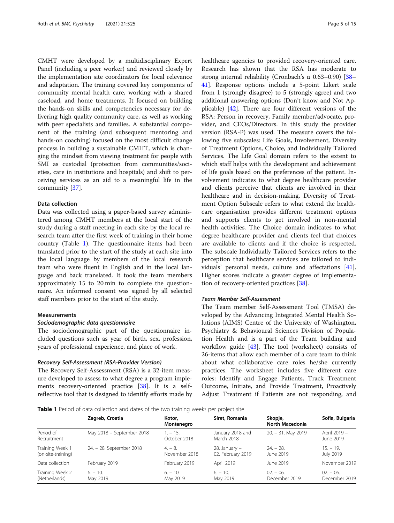CMHT were developed by a multidisciplinary Expert Panel (including a peer worker) and reviewed closely by the implementation site coordinators for local relevance and adaptation. The training covered key components of community mental health care, working with a shared caseload, and home treatments. It focused on building the hands-on skills and competencies necessary for delivering high quality community care, as well as working with peer specialists and families. A substantial component of the training (and subsequent mentoring and hands-on coaching) focused on the most difficult change process in building a sustainable CMHT, which is changing the mindset from viewing treatment for people with SMI as custodial (protection from communities/societies, care in institutions and hospitals) and shift to perceiving services as an aid to a meaningful life in the community [[37](#page-14-0)].

#### Data collection

Data was collected using a paper-based survey administered among CMHT members at the local start of the study during a staff meeting in each site by the local research team after the first week of training in their home country (Table 1). The questionnaire items had been translated prior to the start of the study at each site into the local language by members of the local research team who were fluent in English and in the local language and back translated. It took the team members approximately 15 to 20 min to complete the questionnaire. An informed consent was signed by all selected staff members prior to the start of the study.

#### Measurements

#### Sociodemographic data questionnaire

The sociodemographic part of the questionnaire included questions such as year of birth, sex, profession, years of professional experience, and place of work.

#### Recovery Self-Assessment (RSA-Provider Version)

The Recovery Self-Assessment (RSA) is a 32-item measure developed to assess to what degree a program implements recovery-oriented practice [\[38](#page-14-0)]. It is a selfreflective tool that is designed to identify efforts made by healthcare agencies to provided recovery-oriented care. Research has shown that the RSA has moderate to strong internal reliability (Cronbach's α 0.63–0.90) [[38](#page-14-0)– [41\]](#page-14-0). Response options include a 5-point Likert scale from 1 (strongly disagree) to 5 (strongly agree) and two additional answering options (Don't know and Not Applicable) [\[42\]](#page-14-0). There are four different versions of the RSA: Person in recovery, Family member/advocate, provider, and CEOs/Directors. In this study the provider version (RSA-P) was used. The measure covers the following five subscales: Life Goals, Involvement, Diversity of Treatment Options, Choice, and Individually Tailored Services. The Life Goal domain refers to the extent to which staff helps with the development and achievement of life goals based on the preferences of the patient. Involvement indicates to what degree healthcare provider and clients perceive that clients are involved in their healthcare and in decision-making. Diversity of Treatment Option Subscale refers to what extend the healthcare organisation provides different treatment options and supports clients to get involved in non-mental health activities. The Choice domain indicates to what degree healthcare provider and clients feel that choices are available to clients and if the choice is respected. The subscale Individually Tailored Services refers to the perception that healthcare services are tailored to individuals' personal needs, culture and affectations [\[41](#page-14-0)]. Higher scores indicate a greater degree of implementation of recovery-oriented practices [[38\]](#page-14-0).

# Team Member Self-Assessment

The Team member Self-Assessment Tool (TMSA) developed by the Advancing Integrated Mental Health Solutions (AIMS) Centre of the University of Washington, Psychiatry & Behavioural Sciences Division of Population Health and is a part of the Team building and workflow guide [\[43\]](#page-14-0). The tool (worksheet) consists of 26-items that allow each member of a care team to think about what collaborative care roles he/she currently practices. The worksheet includes five different care roles: Identify and Engage Patients, Track Treatment Outcome, Initiate, and Provide Treatment, Proactively Adjust Treatment if Patients are not responding, and

**Table 1** Period of data collection and dates of the two training weeks per project site

|                                       | Zagreb, Croatia           | Kotor,<br>Montenegro       | Siret, Romania                         | Skopje,<br>North Macedonia | Sofia, Bulgaria            |
|---------------------------------------|---------------------------|----------------------------|----------------------------------------|----------------------------|----------------------------|
| Period of<br>Recruitment              | May 2018 - September 2018 | $1. - 15.$<br>October 2018 | January 2018 and<br>March 2018         | $20. - 31.$ May 2019       | April 2019 -<br>June 2019  |
| Training Week 1<br>(on-site-training) | 24. - 28. September 2018  | $4 - 8$ .<br>November 2018 | $28.$ January $-$<br>02. February 2019 | $24. - 28.$<br>June 2019   | $15. - 19.$<br>July 2019   |
| Data collection                       | February 2019             | February 2019              | April 2019                             | June 2019                  | November 2019              |
| Training Week 2<br>(Netherlands)      | $6. - 10.$<br>May 2019    | $6. - 10.$<br>May 2019     | $6. - 10.$<br>May 2019                 | $02 - 06$<br>December 2019 | $02 - 06$<br>December 2019 |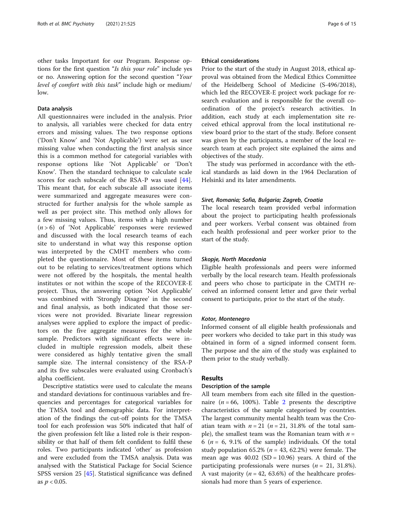other tasks Important for our Program. Response options for the first question "Is this your role" include yes or no. Answering option for the second question "Your level of comfort with this task" include high or medium/ low.

#### Data analysis

All questionnaires were included in the analysis. Prior to analysis, all variables were checked for data entry errors and missing values. The two response options ('Don't Know' and 'Not Applicable') were set as user missing value when conducting the first analysis since this is a common method for categorial variables with response options like 'Not Applicable' or 'Don't Know'. Then the standard technique to calculate scale scores for each subscale of the RSA-P was used [\[44](#page-14-0)]. This meant that, for each subscale all associate items were summarized and aggregate measures were constructed for further analysis for the whole sample as well as per project site. This method only allows for a few missing values. Thus, items with a high number  $(n > 6)$  of 'Not Applicable' responses were reviewed and discussed with the local research teams of each site to understand in what way this response option was interpreted by the CMHT members who completed the questionnaire. Most of these items turned out to be relating to services/treatment options which were not offered by the hospitals, the mental health institutes or not within the scope of the RECOVER-E project. Thus, the answering option 'Not Applicable' was combined with 'Strongly Disagree' in the second and final analysis, as both indicated that those services were not provided. Bivariate linear regression analyses were applied to explore the impact of predictors on the five aggregate measures for the whole sample. Predictors with significant effects were included in multiple regression models, albeit these were considered as highly tentative given the small sample size. The internal consistency of the RSA-P and its five subscales were evaluated using Cronbach's alpha coefficient.

Descriptive statistics were used to calculate the means and standard deviations for continuous variables and frequencies and percentages for categorical variables for the TMSA tool and demographic data. For interpretation of the findings the cut-off points for the TMSA tool for each profession was 50% indicated that half of the given profession felt like a listed role is their responsibility or that half of them felt confident to fulfil these roles. Two participants indicated 'other' as profession and were excluded from the TMSA analysis. Data was analysed with the Statistical Package for Social Science SPSS version 25 [[45\]](#page-14-0). Statistical significance was defined as  $p < 0.05$ .

#### Ethical considerations

Prior to the start of the study in August 2018, ethical approval was obtained from the Medical Ethics Committee of the Heidelberg School of Medicine (S-496/2018), which led the RECOVER-E project work package for research evaluation and is responsible for the overall coordination of the project's research activities. In addition, each study at each implementation site received ethical approval from the local institutional review board prior to the start of the study. Before consent was given by the participants, a member of the local research team at each project site explained the aims and objectives of the study.

The study was performed in accordance with the ethical standards as laid down in the 1964 Declaration of Helsinki and its later amendments.

#### Siret, Romania; Sofia, Bulgaria; Zagreb, Croatia

The local research team provided verbal information about the project to participating health professionals and peer workers. Verbal consent was obtained from each health professional and peer worker prior to the start of the study.

#### Skopje, North Macedonia

Eligible health professionals and peers were informed verbally by the local research team. Health professionals and peers who chose to participate in the CMTH received an informed consent letter and gave their verbal consent to participate, prior to the start of the study.

#### Kotor, Montenegro

Informed consent of all eligible health professionals and peer workers who decided to take part in this study was obtained in form of a signed informed consent form. The purpose and the aim of the study was explained to them prior to the study verbally.

### Results

#### Description of the sample

All team members from each site filled in the questionnaire ( $n = 66$ , 100%). Table [2](#page-6-0) presents the descriptive characteristics of the sample categorised by countries. The largest community mental health team was the Croatian team with  $n = 21$  ( $n = 21$ , 31.8% of the total sample), the smallest team was the Romanian team with  $n =$ 6 ( $n = 6$ , 9.1% of the sample) individuals. Of the total study population 65.2% ( $n = 43$ , 62.2%) were female. The mean age was  $40.02$  (SD = 10.96) years. A third of the participating professionals were nurses ( $n = 21, 31.8\%$ ). A vast majority ( $n = 42, 63.6\%$ ) of the healthcare professionals had more than 5 years of experience.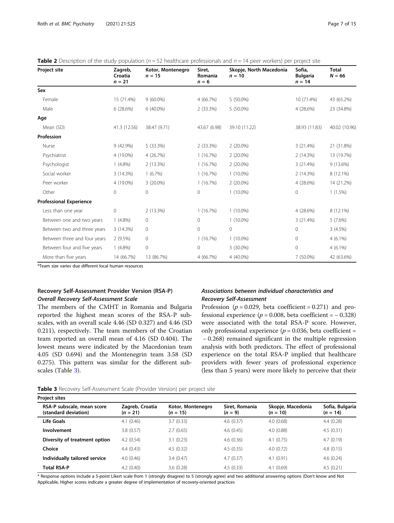<span id="page-6-0"></span>

| <b>Table 2</b> Description of the study population ( $n = 52$ healthcare professionals and $n = 14$ peer workers) per project site |  |  |  |
|------------------------------------------------------------------------------------------------------------------------------------|--|--|--|
|------------------------------------------------------------------------------------------------------------------------------------|--|--|--|

| <b>Project site</b>            | Zagreb,<br>Croatia<br>$n = 21$ | Kotor, Montenegro<br>$n = 15$ | Siret,<br>Romania<br>$n = 6$ | Skopje, North Macedonia<br>$n = 10$ | Sofia,<br><b>Bulgaria</b><br>$n = 14$ | Total<br>$N = 66$ |
|--------------------------------|--------------------------------|-------------------------------|------------------------------|-------------------------------------|---------------------------------------|-------------------|
| Sex                            |                                |                               |                              |                                     |                                       |                   |
| Female                         | 15 (71.4%)                     | $9(60.0\%)$                   | 4 (66.7%)                    | $5(50.0\%)$                         | 10 (71.4%)                            | 43 (65.2%)        |
| Male                           | 6(28.6%)                       | $6(40.0\%)$                   | 2(33.3%)                     | 5 (50.0%)                           | 4 (28,6%)                             | 23 (34.8%)        |
| Age                            |                                |                               |                              |                                     |                                       |                   |
| Mean (SD)                      | 41.3 (12.56)                   | 38.47 (9.71)                  | 43.67 (6.98)                 | 39.10 (11.22)                       | 38.93 (11.83)                         | 40.02 (10.96)     |
| Profession                     |                                |                               |                              |                                     |                                       |                   |
| Nurse                          | 9 (42.9%)                      | 5 (33.3%)                     | 2 (33.3%)                    | $2(20.0\%)$                         | 3(21.4%)                              | 21 (31.8%)        |
| Psychiatrist                   | 4 (19.0%)                      | 4 (26.7%)                     | 1(16.7%)                     | $2(20.0\%)$                         | 2(14.3%)                              | 13 (19.7%)        |
| Psychologist                   | $1(4.8\%)$                     | 2 (13.3%)                     | 1(16.7%)                     | $2(20.0\%)$                         | 3 (21.4%)                             | 9 (13.6%)         |
| Social worker                  | 3 (14.3%)                      | 1(6.7%)                       | 1(16.7%)                     | $1(10.0\%)$                         | 2 (14.3%)                             | 8 (12.1%)         |
| Peer worker                    | 4 (19.0%)                      | 3 (20.0%)                     | 1(16.7%)                     | $2(20.0\%)$                         | 4 (28.6%)                             | 14 (21.2%)        |
| Other                          | 0                              | $\Omega$                      | $\Omega$                     | $1(10.0\%)$                         | $\Omega$                              | $1(1.5\%)$        |
| <b>Professional Experience</b> |                                |                               |                              |                                     |                                       |                   |
| Less than one year             | 0                              | 2 (13.3%)                     | 1(16.7%)                     | $1(10.0\%)$                         | 4 (28.6%)                             | 8 (12.1%)         |
| Between one and two years      | $1(4.8\%)$                     | 0                             | 0                            | $1(10.0\%)$                         | 3(21.4%)                              | 5(7.6%)           |
| Between two and three years    | 3 (14.3%)                      | 0                             | 0                            | $\mathbf{0}$                        | $\Omega$                              | 3(4.5%)           |
| Between three and four years   | 2(9.5%)                        | 0                             | 1(16.7%)                     | $1(10.0\%)$                         | $\mathbf{0}$                          | $4(6.1\%)$        |
| Between four and five years    | $1(4.8\%)$                     | 0                             | 0                            | 3 (30.0%)                           | $\Omega$                              | $4(6.1\%)$        |
| More than five years           | 14 (66.7%)                     | 13 (86.7%)                    | 4 (66.7%)                    | 4 (40.0%)                           | 7 (50.0%)                             | 42 (63.6%)        |

\*Team size varies due different local human resources

# Recovery Self-Assessment Provider Version (RSA-P) Overall Recovery Self-Assessment Scale

The members of the CMHT in Romania and Bulgaria reported the highest mean scores of the RSA-P subscales, with an overall scale 4.46 (SD 0.327) and 4.46 (SD 0.211), respectively. The team members of the Croatian team reported an overall mean of 4.16 (SD 0.404). The lowest means were indicated by the Macedonian team 4.05 (SD 0.694) and the Montenegrin team 3.58 (SD 0.275). This pattern was similar for the different subscales (Table 3).

### Associations between individual characteristics and Recovery Self-Assessment

Profession ( $p = 0.029$ , beta coefficient = 0.271) and professional experience ( $p = 0.008$ , beta coefficient =  $-0.328$ ) were associated with the total RSA-P score. However, only professional experience ( $p = 0.036$ , beta coefficient = − 0.268) remained significant in the multiple regression analysis with both predictors. The effect of professional experience on the total RSA-P implied that healthcare providers with fewer years of professional experience (less than 5 years) were more likely to perceive that their

| Table 3 Recovery Self-Assessment Scale (Provider Version) per project site |  |
|----------------------------------------------------------------------------|--|
|----------------------------------------------------------------------------|--|

| <b>Project sites</b>                               |                               |                                 |                             |                                 |                               |
|----------------------------------------------------|-------------------------------|---------------------------------|-----------------------------|---------------------------------|-------------------------------|
| RSA-P subscale, mean score<br>(standard deviation) | Zagreb, Croatia<br>$(n = 21)$ | Kotor, Montenegro<br>$(n = 15)$ | Siret, Romania<br>$(n = 9)$ | Skopje, Macedonia<br>$(n = 10)$ | Sofia, Bulgaria<br>$(n = 14)$ |
| Life Goals                                         | 4.1(0.46)                     | 3.7(0.33)                       | 4.6(0.37)                   | 4.0(0.68)                       | 4.4(0.28)                     |
| Involvement                                        | 3.8(0.57)                     | 2.7(0.65)                       | 4.6(0.45)                   | 4.0(0.88)                       | 4.5(0.31)                     |
| Diversity of treatment option                      | 4.2(0.54)                     | 3.1(0.23)                       | 4.6(0.36)                   | 4.1(0.75)                       | 4.7(0.19)                     |
| Choice                                             | 4.4(0.43)                     | 4.5(0.32)                       | 4.5(0.35)                   | 4.0(0.72)                       | 4.8(0.15)                     |
| Individually tailored service                      | 4.0(0.46)                     | 3.4(0.47)                       | 4.7(0.37)                   | 4.1(0.91)                       | 4.6(0.24)                     |
| <b>Total RSA-P</b>                                 | 4.2(0.40)                     | 3.6(0.28)                       | 4.5(0.33)                   | 4.1(0.69)                       | 4.5(0.21)                     |

\* Response options include a 5-point Likert scale from 1 (strongly disagree) to 5 (strongly agree) and two additional answering options (Don't know and Not Applicable, Higher scores indicate a greater degree of implementation of recovery-oriented practices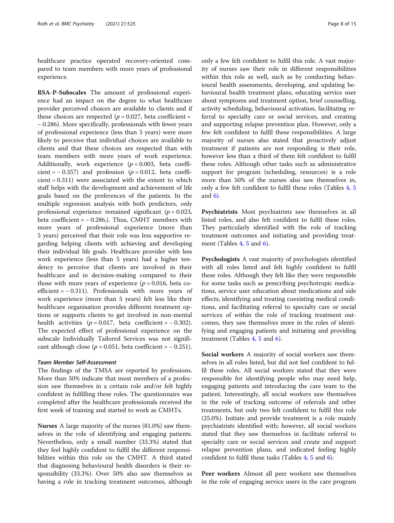healthcare practice operated recovery-oriented compared to team members with more years of professional experience.

RSA-P-Subscales The amount of professional experience had an impact on the degree to what healthcare provider perceived choices are available to clients and if these choices are respected ( $p = 0.027$ , beta coefficient = − 0.286). More specifically, professionals with fewer years of professional experience (less than 5 years) were more likely to perceive that individual choices are available to clients and that these choices are respected than with team members with more years of work experience. Additionally, work experience  $(p = 0.003, \text{beta coefficient})$ cient =  $-0.357$ ) and profession ( $p = 0.012$ , beta coefficient = 0.311) were associated with the extent to which staff helps with the development and achievement of life goals based on the preferences of the patients. In the multiple regression analysis with both predictors, only professional experience remained significant ( $p = 0.023$ , beta coefficient =  $-$  0.286,). Thus, CMHT members with more years of professional experience (more than 5 years) perceived that their role was less supportive regarding helping clients with achieving and developing their individual life goals. Healthcare provider with less work experience (less than 5 years) had a higher tendency to perceive that clients are involved in their healthcare and in decision-making compared to their those with more years of experience ( $p = 0.016$ , beta coefficient =  $-0.311$ ). Professionals with more years of work experience (more than 5 years) felt less like their healthcare organisation provides different treatment options or supports clients to get involved in non-mental health activities  $(p = 0.017, \text{beta coefficient} = -0.302)$ . The expected effect of professional experience on the subscale Individually Tailored Services was not significant although close ( $p = 0.051$ , beta coefficient =  $-0.251$ ).

#### Team Member Self-Assessment

The findings of the TMSA are reported by professions. More than 50% indicate that most members of a profession saw themselves in a certain role and/or felt highly confident in fulfilling these roles. The questionnaire was completed after the healthcare professionals received the first week of training and started to work as CMHTs.

Nurses A large majority of the nurses (81.0%) saw themselves in the role of identifying and engaging patients. Nevertheless, only a small number (33.3%) stated that they feel highly confident to fulfil the different responsibilities within this role on the CMHT. A third stated that diagnosing behavioural health disorders is their responsibility (33.3%). Over 50% also saw themselves as having a role in tracking treatment outcomes, although only a few felt confident to fulfil this role. A vast majority of nurses saw their role in different responsibilities within this role as well, such as by conducting behavioural health assessments, developing, and updating behavioural health treatment plans, educating service user about symptoms and treatment option, brief counselling, activity scheduling, behavioural activation, facilitating referral to specialty care or social services, and creating and supporting relapse prevention plan. However, only a few felt confident to fulfil these responsibilities. A large majority of nurses also stated that proactively adjust treatment if patients are not responding is their role, however less than a third of them felt confident to fulfil these roles. Although other tasks such as administrative support for program (scheduling, resources) is a role more than 50% of the nurses also saw themselves in, only a few felt confident to fulfil these roles (Tables [4](#page-8-0), [5](#page-9-0) and [6\)](#page-10-0).

Psychiatrists Most psychiatrists saw themselves in all listed roles, and also felt confident to fulfil these roles. They particularly identified with the role of tracking treatment outcomes and initiating and providing treatment (Tables  $4, 5$  $4, 5$  $4, 5$  and  $6$ ).

Psychologists A vast majority of psychologists identified with all roles listed and felt highly confident to fulfil these roles. Although they felt like they were responsible for some tasks such as prescribing psychotropic medications, service user education about medications and side effects, identifying and treating coexisting medical conditions, and facilitating referral to specialty care or social services of within the role of tracking treatment outcomes, they saw themselves more in the roles of identifying and engaging patients and initiating and providing treatment (Tables [4](#page-8-0), [5](#page-9-0) and [6](#page-10-0)).

Social workers A majority of social workers saw themselves in all roles listed, but did not feel confident to fulfil these roles. All social workers stated that they were responsible for identifying people who may need help, engaging patients and introducing the care team to the patient. Interestingly, all social workers saw themselves in the role of tracking outcome of referrals and other treatments, but only two felt confident to fulfil this role (25.0%). Initiate and provide treatment is a role mainly psychiatrists identified with; however, all social workers stated that they saw themselves in facilitate referral to specialty care or social services and create and support relapse prevention plans, and indicated feeling highly confident to fulfil these tasks (Tables [4,](#page-8-0) [5](#page-9-0) and [6\)](#page-10-0).

Peer workers Almost all peer workers saw themselves in the role of engaging service users in the care program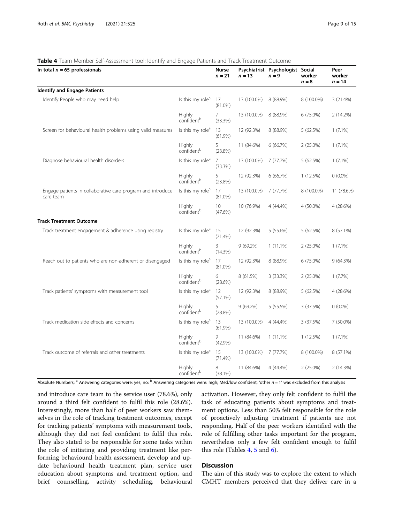#### <span id="page-8-0"></span>Table 4 Team Member Self-Assessment tool: Identify and Engage Patients and Track Treatment Outcome

| r really member ben hoseboment tool, identify and engage rationic and mack meatment outcome<br>In total $n = 65$ professionals |                                         | Nurse<br>$n = 21$ | $n = 13$    | Psychiatrist Psychologist Social<br>$n = 9$ | worker<br>$n = 8$ | Peer<br>worker<br>$n = 14$ |
|--------------------------------------------------------------------------------------------------------------------------------|-----------------------------------------|-------------------|-------------|---------------------------------------------|-------------------|----------------------------|
| <b>Identify and Engage Patients</b>                                                                                            |                                         |                   |             |                                             |                   |                            |
| Identify People who may need help                                                                                              | Is this my role <sup>a</sup>            | 17<br>$(81.0\%)$  | 13 (100.0%) | 8 (88.9%)                                   | 8 (100.0%)        | 3 (21.4%)                  |
|                                                                                                                                | Highly<br>confident <sup>b</sup>        | 7<br>(33.3%)      | 13 (100.0%) | 8 (88.9%)                                   | 6 (75.0%)         | 2 (14.2%)                  |
| Screen for behavioural health problems using valid measures                                                                    | Is this my role <sup>a</sup>            | 13<br>$(61.9\%)$  | 12 (92.3%)  | 8 (88.9%)                                   | 5 (62.5%)         | $1(7.1\%)$                 |
|                                                                                                                                | Highly<br>confident <sup>b</sup>        | 5<br>(23.8%)      | 11 (84.6%)  | 6(66.7%)                                    | $2(25.0\%)$       | $1(7.1\%)$                 |
| Diagnose behavioural health disorders                                                                                          | Is this my role <sup>a</sup>            | 7<br>(33.3%)      | 13 (100.0%) | 7(77.7%)                                    | 5 (62.5%)         | $1(7.1\%)$                 |
|                                                                                                                                | <b>Highly</b><br>confident <sup>b</sup> | 5<br>(23.8%)      | 12 (92.3%)  | 6(66.7%)                                    | 1(12.5%)          | $0(0.0\%)$                 |
| Engage patients in collaborative care program and introduce<br>care team                                                       | Is this my role <sup>a</sup>            | 17<br>$(81.0\%)$  | 13 (100.0%) | 7 (77.7%)                                   | 8 (100.0%)        | 11 (78.6%)                 |
|                                                                                                                                | <b>Highly</b><br>confident <sup>b</sup> | 10<br>(47.6%)     | 10 (76.9%)  | 4 (44.4%)                                   | 4 (50.0%)         | 4 (28.6%)                  |
| <b>Track Treatment Outcome</b>                                                                                                 |                                         |                   |             |                                             |                   |                            |
| Track treatment engagement & adherence using registry                                                                          | Is this my role <sup>a</sup>            | 15<br>(71.4%)     | 12 (92.3%)  | 5(55.6%)                                    | 5 (62.5%)         | 8 (57.1%)                  |
|                                                                                                                                | Highly<br>confident <sup>b</sup>        | 3<br>(14.3%)      | 9(69.2%)    | $1(11.1\%)$                                 | 2 (25.0%)         | $1(7.1\%)$                 |
| Reach out to patients who are non-adherent or disengaged                                                                       | Is this my role <sup>a</sup>            | 17<br>$(81.0\%)$  | 12 (92.3%)  | 8 (88.9%)                                   | 6 (75.0%)         | 9(64.3%)                   |
|                                                                                                                                | Highly<br>confident <sup>b</sup>        | 6<br>(28.6%)      | 8 (61.5%)   | 3 (33.3%)                                   | $2(25.0\%)$       | 1(7.7%)                    |
| Track patients' symptoms with measurement tool                                                                                 | Is this my role <sup>a</sup>            | 12<br>(57.1%)     | 12 (92.3%)  | 8 (88.9%)                                   | 5 (62.5%)         | 4 (28.6%)                  |
|                                                                                                                                | Highly<br>confident <sup>b</sup>        | 5<br>(28.8%)      | 9(69.2%)    | 5 (55.5%)                                   | 3 (37.5%)         | $0(0.0\%)$                 |
| Track medication side effects and concerns                                                                                     | Is this my role <sup>a</sup>            | 13<br>$(61.9\%)$  | 13 (100.0%) | 4 (44.4%)                                   | 3 (37.5%)         | 7 (50.0%)                  |
|                                                                                                                                | Highly<br>confident <sup>b</sup>        | 9<br>$(42.9\%)$   | 11 (84.6%)  | $1(11.1\%)$                                 | 1(12.5%)          | $1(7.1\%)$                 |
| Track outcome of referrals and other treatments                                                                                | Is this my role <sup>a</sup>            | 15<br>(71.4%)     | 13 (100.0%) | 7 (77.7%)                                   | 8 (100.0%)        | 8 (57.1%)                  |
|                                                                                                                                | Highly<br>confident <sup>b</sup>        | 8<br>(38.1%)      | 11 (84.6%)  | 4 (44.4%)                                   | $2(25.0\%)$       | 2(14.3%)                   |

Absolute Numbers; <sup>a</sup> Answering categories were: yes; no; <sup>b</sup> Answering categories were: high; Med/low confident; 'other  $n = 1'$  was excluded from this analysis

and introduce care team to the service user (78.6%), only around a third felt confident to fulfil this role (28.6%). Interestingly, more than half of peer workers saw themselves in the role of tracking treatment outcomes, except for tracking patients' symptoms with measurement tools, although they did not feel confident to fulfil this role. They also stated to be responsible for some tasks within the role of initiating and providing treatment like performing behavioural health assessment, develop and update behavioural health treatment plan, service user education about symptoms and treatment option, and brief counselling, activity scheduling, behavioural activation. However, they only felt confident to fulfil the task of educating patients about symptoms and treatment options. Less than 50% felt responsible for the role of proactively adjusting treatment if patients are not responding. Half of the peer workers identified with the role of fulfilling other tasks important for the program, nevertheless only a few felt confident enough to fulfil this role (Tables  $4, 5$  $4, 5$  and  $6$ ).

# **Discussion**

The aim of this study was to explore the extent to which CMHT members perceived that they deliver care in a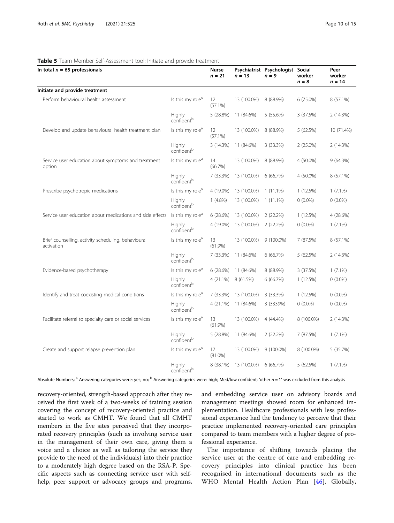#### <span id="page-9-0"></span>Table 5 Team Member Self-Assessment tool: Initiate and provide treatment

| In total $n = 65$ professionals                                   |                                         | Nurse<br>$n = 21$ | $n = 13$    | Psychiatrist Psychologist Social<br>$n = 9$ | worker<br>$n = 8$ | Peer<br>worker<br>$n = 14$ |
|-------------------------------------------------------------------|-----------------------------------------|-------------------|-------------|---------------------------------------------|-------------------|----------------------------|
| Initiate and provide treatment                                    |                                         |                   |             |                                             |                   |                            |
| Perform behavioural health assessment                             | Is this my role <sup>a</sup>            | 12<br>$(57.1\%)$  | 13 (100.0%) | 8 (88.9%)                                   | 6 (75.0%)         | 8 (57.1%)                  |
|                                                                   | Highly<br>confident <sup>b</sup>        | 5 (28.8%)         | 11 (84.6%)  | 5 (55.6%)                                   | 3 (37.5%)         | 2(14.3%)                   |
| Develop and update behavioural health treatment plan              | Is this my role <sup>a</sup>            | 12<br>$(57.1\%)$  | 13 (100.0%) | 8 (88.9%)                                   | 5 (62.5%)         | 10 (71.4%)                 |
|                                                                   | Highly<br>confident <sup>b</sup>        | 3 (14.3%)         | 11 (84.6%)  | 3(33.3%)                                    | $2(25.0\%)$       | 2(14.3%)                   |
| Service user education about symptoms and treatment<br>option     | Is this my role <sup>a</sup>            | 14<br>(66.7%)     | 13 (100.0%) | 8 (88.9%)                                   | 4 (50.0%)         | 9 (64.3%)                  |
|                                                                   | <b>Highly</b><br>confident <sup>b</sup> | 7 (33.3%)         | 13 (100.0%) | 6 (66.7%)                                   | 4 (50.0%)         | 8 (57.1%)                  |
| Prescribe psychotropic medications                                | Is this my role <sup>a</sup>            | 4 (19.0%)         | 13 (100.0%) | $1(11.1\%)$                                 | 1(12.5%)          | $1(7.1\%)$                 |
|                                                                   | Highly<br>confident <sup>b</sup>        | $1(4.8\%)$        | 13 (100.0%) | $1(11.1\%)$                                 | $0(0.0\%)$        | $0(0.0\%)$                 |
| Service user education about medications and side effects         | Is this my role <sup>a</sup>            | 6(28.6%)          | 13 (100.0%) | 2(22.2%)                                    | 1(12.5%)          | 4 (28.6%)                  |
|                                                                   | Highly<br>confident <sup>b</sup>        | 4 (19.0%)         | 13 (100.0%) | 2(22.2%)                                    | $0(0.0\%)$        | $1(7.1\%)$                 |
| Brief counselling, activity scheduling, behavioural<br>activation | Is this my role <sup>a</sup>            | 13<br>$(61.9\%)$  | 13 (100.0%) | $9(100.0\%)$                                | 7 (87.5%)         | 8 (57.1%)                  |
|                                                                   | <b>Highly</b><br>confident <sup>b</sup> | 7 (33.3%)         | 11 (84.6%)  | 6(66.7%)                                    | 5(62.5%)          | 2 (14.3%)                  |
| Evidence-based psychotherapy                                      | Is this my role <sup>a</sup>            | 6(28.6%)          | 11 (84.6%)  | 8 (88.9%)                                   | 3 (37.5%)         | $1(7.1\%)$                 |
|                                                                   | <b>Highly</b><br>confident <sup>b</sup> | $4(21.1\%)$       | 8 (61.5%)   | 6 (66.7%)                                   | 1(12.5%)          | $0(0.0\%)$                 |
| Identify and treat coexisting medical conditions                  | Is this my role <sup>d</sup>            | 7 (33.3%)         | 13 (100.0%) | 3 (33.3%)                                   | 1(12.5%)          | $0(0.0\%)$                 |
|                                                                   | <b>Highly</b><br>confident <sup>b</sup> | 4 (21.1%)         | 11 (84.6%)  | 3 (3339%)                                   | $0(0.0\%)$        | $0(0.0\%)$                 |
| Facilitate referral to specialty care or social services          | Is this my role <sup>a</sup>            | 13<br>$(61.9\%)$  | 13 (100.0%) | 4 (44.4%)                                   | 8 (100.0%)        | 2 (14.3%)                  |
|                                                                   | <b>Highly</b><br>confident <sup>b</sup> | 5 (28.8%)         | 11 (84.6%)  | 2(22.2%)                                    | 7 (87.5%)         | $1(7.1\%)$                 |
| Create and support relapse prevention plan                        | Is this my role <sup>a</sup>            | 17<br>$(81.0\%)$  | 13 (100.0%) | $9(100.0\%)$                                | 8 (100.0%)        | 5 (35.7%)                  |
|                                                                   | Highly<br>confident <sup>b</sup>        | 8 (38.1%)         | 13 (100.0%) | 6 (66.7%)                                   | 5(62.5%)          | $1(7.1\%)$                 |

Absolute Numbers; <sup>a</sup> Answering categories were: yes; no; <sup>b</sup> Answering categories were: high; Med/low confident; 'other  $n = 1'$  was excluded from this analysis

recovery-oriented, strength-based approach after they received the first week of a two-weeks of training session covering the concept of recovery-oriented practice and started to work as CMHT. We found that all CMHT members in the five sites perceived that they incorporated recovery principles (such as involving service user in the management of their own care, giving them a voice and a choice as well as tailoring the service they provide to the need of the individuals) into their practice to a moderately high degree based on the RSA-P. Specific aspects such as connecting service user with selfhelp, peer support or advocacy groups and programs, and embedding service user on advisory boards and management meetings showed room for enhanced implementation. Healthcare professionals with less professional experience had the tendency to perceive that their practice implemented recovery-oriented care principles compared to team members with a higher degree of professional experience.

The importance of shifting towards placing the service user at the centre of care and embedding recovery principles into clinical practice has been recognised in international documents such as the WHO Mental Health Action Plan [[46\]](#page-14-0). Globally,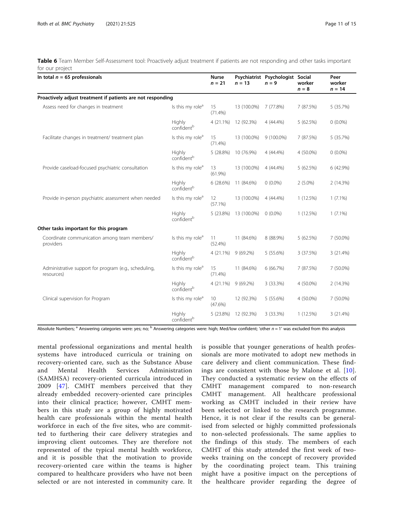<span id="page-10-0"></span>Table 6 Team Member Self-Assessment tool: Proactively adjust treatment if patients are not responding and other tasks important for our project

| In total $n = 65$ professionals                                     |                                  | <b>Nurse</b><br>$n = 21$ | $n = 13$    | Psychiatrist Psychologist Social<br>$n = 9$ | worker<br>$n = 8$ | Peer<br>worker<br>$n = 14$ |
|---------------------------------------------------------------------|----------------------------------|--------------------------|-------------|---------------------------------------------|-------------------|----------------------------|
| Proactively adjust treatment if patients are not responding         |                                  |                          |             |                                             |                   |                            |
| Assess need for changes in treatment                                | Is this my role <sup>a</sup>     | 15<br>(71.4%)            | 13 (100.0%) | 7 (77.8%)                                   | 7 (87.5%)         | 5 (35.7%)                  |
|                                                                     | Highly<br>confident <sup>b</sup> | $4(21.1\%)$              | 12 (92.3%)  | 4 (44.4%)                                   | 5(62.5%)          | $0(0.0\%)$                 |
| Facilitate changes in treatment/ treatment plan                     | Is this my role <sup>a</sup>     | 15<br>$(71.4\%)$         | 13 (100.0%) | 9 (100.0%)                                  | 7 (87.5%)         | 5 (35.7%)                  |
|                                                                     | Highly<br>confident <sup>b</sup> | 5(28.8%)                 | 10 (76.9%)  | 4 (44.4%)                                   | 4 (50.0%)         | $0(0.0\%)$                 |
| Provide caseload-focused psychiatric consultation                   | Is this my role <sup>a</sup>     | 13<br>$(61.9\%)$         | 13 (100.0%) | 4 (44.4%)                                   | 5(62.5%)          | 6 (42.9%)                  |
|                                                                     | Highly<br>confident <sup>b</sup> | 6(28.6%)                 | 11 (84.6%)  | $0(0.0\%)$                                  | $2(5.0\%)$        | 2 (14.3%)                  |
| Provide in-person psychiatric assessment when needed                | Is this my role <sup>a</sup>     | 12<br>$(57.1\%)$         | 13 (100.0%) | 4 (44.4%)                                   | 1(12.5%)          | $1(7.1\%)$                 |
|                                                                     | Highly<br>confident <sup>b</sup> | 5 (23.8%)                | 13 (100.0%) | $0(0.0\%)$                                  | 1(12.5%)          | $1(7.1\%)$                 |
| Other tasks important for this program                              |                                  |                          |             |                                             |                   |                            |
| Coordinate communication among team members/<br>providers           | Is this my role <sup>a</sup>     | 11<br>(52.4%)            | 11 (84.6%)  | 8 (88.9%)                                   | 5(62.5%)          | 7 (50.0%)                  |
|                                                                     | Highly<br>confident <sup>b</sup> | $4(21.1\%)$              | 9(69.2%)    | 5 (55.6%)                                   | 3 (37.5%)         | 3 (21.4%)                  |
| Administrative support for program (e.g., scheduling,<br>resources) | Is this my role <sup>a</sup>     | 15<br>$(71.4\%)$         | 11 (84.6%)  | 6 (66.7%)                                   | 7 (87.5%)         | 7 (50.0%)                  |
|                                                                     | Highly<br>confident <sup>b</sup> | $4(21.1\%)$              | 9(69.2%)    | 3 (33.3%)                                   | 4 (50.0%)         | 2 (14.3%)                  |
| Clinical supervision for Program                                    | Is this my role <sup>a</sup>     | 10<br>(47.6%)            | 12 (92.3%)  | 5 (55.6%)                                   | 4 (50.0%)         | 7 (50.0%)                  |
|                                                                     | Highly<br>confident <sup>b</sup> | 5 (23.8%)                | 12 (92.3%)  | 3 (33.3%)                                   | 1(12.5%)          | 3 (21.4%)                  |

Absolute Numbers; <sup>a</sup> Answering categories were: yes; no; <sup>b</sup> Answering categories were: high; Med/low confident; 'other  $n = 1'$  was excluded from this analysis

mental professional organizations and mental health systems have introduced curricula or training on recovery-oriented care, such as the Substance Abuse and Mental Health Services Administration (SAMHSA) recovery-oriented curricula introduced in 2009 [[47\]](#page-14-0). CMHT members perceived that they already embedded recovery-oriented care principles into their clinical practice; however, CMHT members in this study are a group of highly motivated health care professionals within the mental health workforce in each of the five sites, who are committed to furthering their care delivery strategies and improving client outcomes. They are therefore not represented of the typical mental health workforce, and it is possible that the motivation to provide recovery-oriented care within the teams is higher compared to healthcare providers who have not been selected or are not interested in community care. It

is possible that younger generations of health professionals are more motivated to adopt new methods in care delivery and client communication. These findings are consistent with those by Malone et al. [[10](#page-13-0)]. They conducted a systematic review on the effects of CMHT management compared to non-research CMHT management. All healthcare professional working as CMHT included in their review have been selected or linked to the research programme. Hence, it is not clear if the results can be generalised from selected or highly committed professionals to non-selected professionals. The same applies to the findings of this study. The members of each CMHT of this study attended the first week of twoweeks training on the concept of recovery provided by the coordinating project team. This training might have a positive impact on the perceptions of the healthcare provider regarding the degree of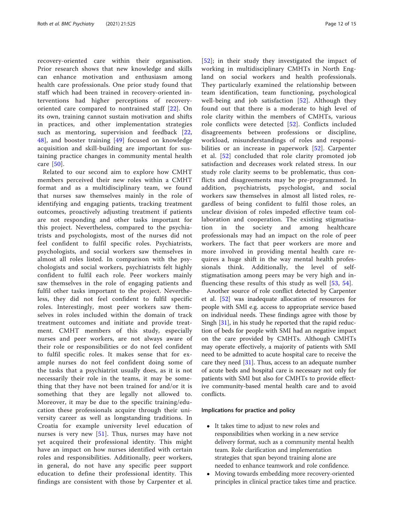recovery-oriented care within their organisation. Prior research shows that new knowledge and skills can enhance motivation and enthusiasm among health care professionals. One prior study found that staff which had been trained in recovery-oriented interventions had higher perceptions of recoveryoriented care compared to nontrained staff [[22\]](#page-13-0). On its own, training cannot sustain motivation and shifts in practices, and other implementation strategies such as mentoring, supervision and feedback [[22](#page-13-0), [48\]](#page-14-0), and booster training [[49](#page-14-0)] focused on knowledge acquisition and skill-building are important for sustaining practice changes in community mental health care [[50\]](#page-14-0).

Related to our second aim to explore how CMHT members perceived their new roles within a CMHT format and as a multidisciplinary team, we found that nurses saw themselves mainly in the role of identifying and engaging patients, tracking treatment outcomes, proactively adjusting treatment if patients are not responding and other tasks important for this project. Nevertheless, compared to the psychiatrists and psychologists, most of the nurses did not feel confident to fulfil specific roles. Psychiatrists, psychologists, and social workers saw themselves in almost all roles listed. In comparison with the psychologists and social workers, psychiatrists felt highly confident to fulfil each role. Peer workers mainly saw themselves in the role of engaging patients and fulfil other tasks important to the project. Nevertheless, they did not feel confident to fulfil specific roles. Interestingly, most peer workers saw themselves in roles included within the domain of track treatment outcomes and initiate and provide treatment. CMHT members of this study, especially nurses and peer workers, are not always aware of their role or responsibilities or do not feel confident to fulfil specific roles. It makes sense that for example nurses do not feel confident doing some of the tasks that a psychiatrist usually does, as it is not necessarily their role in the teams, it may be something that they have not been trained for and/or it is something that they are legally not allowed to. Moreover, it may be due to the specific training/education these professionals acquire through their university career as well as longstanding traditions. In Croatia for example university level education of nurses is very new [\[51\]](#page-14-0). Thus, nurses may have not yet acquired their professional identity. This might have an impact on how nurses identified with certain roles and responsibilities. Additionally, peer workers, in general, do not have any specific peer support education to define their professional identity. This findings are consistent with those by Carpenter et al.

[[52](#page-14-0)]; in their study they investigated the impact of working in multidisciplinary CMHTs in North England on social workers and health professionals. They particularly examined the relationship between team identification, team functioning, psychological well-being and job satisfaction  $[52]$  $[52]$  $[52]$ . Although they found out that there is a moderate to high level of role clarity within the members of CMHTs, various role conflicts were detected [[52\]](#page-14-0). Conflicts included disagreements between professions or discipline, workload, misunderstandings of roles and responsi-bilities or an increase in paperwork [[52](#page-14-0)]. Carpenter et al. [[52](#page-14-0)] concluded that role clarity promoted job satisfaction and decreases work related stress. In our study role clarity seems to be problematic, thus conflicts and disagreements may be pre-programmed. In addition, psychiatrists, psychologist, and social workers saw themselves in almost all listed roles, regardless of being confident to fulfil those roles, an unclear division of roles impeded effective team collaboration and cooperation. The existing stigmatisation in the society and among healthcare professionals may had an impact on the role of peer workers. The fact that peer workers are more and more involved in providing mental health care requires a huge shift in the way mental health professionals think. Additionally, the level of selfstigmatisation among peers may be very high and influencing these results of this study as well  $[53, 54]$  $[53, 54]$  $[53, 54]$ .

Another source of role conflict detected by Carpenter et al. [\[52](#page-14-0)] was inadequate allocation of resources for people with SMI e.g. access to appropriate service based on individual needs. These findings agree with those by Singh [[31\]](#page-13-0), in his study he reported that the rapid reduction of beds for people with SMI had an negative impact on the care provided by CMHTs. Although CMHTs may operate effectively, a majority of patients with SMI need to be admitted to acute hospital care to receive the care they need [\[31](#page-13-0)]. Thus, access to an adequate number of acute beds and hospital care is necessary not only for patients with SMI but also for CMHTs to provide effective community-based mental health care and to avoid conflicts.

#### Implications for practice and policy

- It takes time to adjust to new roles and responsibilities when working in a new service delivery format, such as a community mental health team. Role clarification and implementation strategies that span beyond training alone are needed to enhance teamwork and role confidence.
- Moving towards embedding more recovery-oriented principles in clinical practice takes time and practice.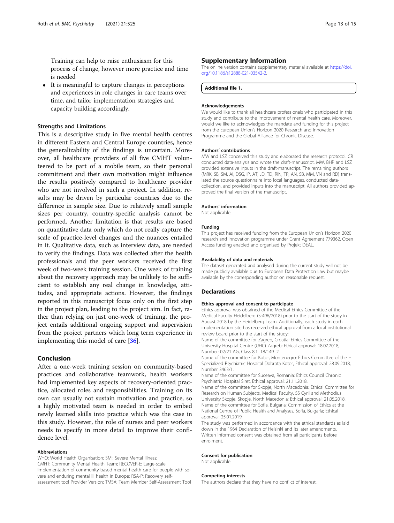<span id="page-12-0"></span>Training can help to raise enthusiasm for this process of change, however more practice and time is needed

• It is meaningful to capture changes in perceptions and experiences in role changes in care teams over time, and tailor implementation strategies and capacity building accordingly.

#### Strengths and Limitations

This is a descriptive study in five mental health centres in different Eastern and Central Europe countries, hence the generalizability of the findings is uncertain. Moreover, all healthcare providers of all five CMHT volunteered to be part of a mobile team, so their personal commitment and their own motivation might influence the results positively compared to healthcare provider who are not involved in such a project. In addition, results may be driven by particular countries due to the difference in sample size. Due to relatively small sample sizes per country, country-specific analysis cannot be performed. Another limitation is that results are based on quantitative data only which do not really capture the scale of practice-level changes and the nuances entailed in it. Qualitative data, such as interview data, are needed to verify the findings. Data was collected after the health professionals and the peer workers received the first week of two-week training session. One week of training about the recovery approach may be unlikely to be sufficient to establish any real change in knowledge, attitudes, and appropriate actions. However, the findings reported in this manuscript focus only on the first step in the project plan, leading to the project aim. In fact, rather than relying on just one-week of training, the project entails additional ongoing support and supervision from the project partners which long term experience in implementing this model of care [\[36](#page-14-0)].

#### Conclusion

After a one-week training session on community-based practices and collaborative teamwork, health workers had implemented key aspects of recovery-oriented practice, allocated roles and responsibilities. Training on its own can usually not sustain motivation and practice, so a highly motivated team is needed in order to embed newly learned skills into practice which was the case in this study. However, the role of nurses and peer workers needs to specify in more detail to improve their confidence level.

#### Abbreviations

WHO: World Health Organisation; SMI: Severe Mental Illness; CMHT: Community Mental Health Team; RECOVER-E: Large-scale implementation of community-based mental health care for people with severe and enduring mental ill health in Europe; RSA-P: Recovery selfassessment tool Provider Version; TMSA: Team Member Self-Assessment Tool

The online version contains supplementary material available at [https://doi.](https://doi.org/10.1186/s12888-021-03542-2) [org/10.1186/s12888-021-03542-2.](https://doi.org/10.1186/s12888-021-03542-2)

#### Additional file 1.

#### Acknowledgements

We would like to thank all healthcare professionals who participated in this study and contribute to the improvement of mental health care. Moreover, would we like to acknowledges the mandate and funding for this project from the European Union's Horizon 2020 Research and Innovation Programme and the Global Alliance for Chronic Disease.

#### Authors' contributions

MW and LSZ conceived this study and elaborated the research protocol. CR conducted data-analysis and wrote the draft-manuscript. MW, BHP and LSZ provided extensive inputs in the draft-manuscript. The remaining authors (MRK, SB, SM, AI, DSG, IP, AT, JD, TD, RIN, TR, AN, SB, MM, VN and RD) translated the source questionnaire into local languages, conducted datacollection, and provided inputs into the manuscript. All authors provided approved the final version of the manuscript.

#### Authors' information

Not applicable.

#### Funding

This project has received funding from the European Union's Horizon 2020 research and innovation programme under Grant Agreement 779362. Open Access funding enabled and organized by Projekt DEAL.

#### Availability of data and materials

The dataset generated and analysed during the current study will not be made publicly available due to European Data Protection Law but maybe available by the corresponding author on reasonable request.

#### Declarations

#### Ethics approval and consent to participate

Ethics approval was obtained of the Medical Ethics Committee of the Medical Faculty Heidelberg (S-496/2018) prior to the start of the study in August 2018 by the Heidelberg Team. Additionally, each study in each implementation site has received ethical approval from a local institutional review board prior to the start of the study:

Name of the committee for Zagreb, Croatia: Ethics Committee of the University Hospital Centre (UHC) Zagreb; Ethical approval: 18.07.2018, Number: 02/21 AG, Class 8.1–18/149–2.

Name of the committee for Kotor, Montenegro: Ethics Committee of the HI Specialized Psychiatric Hospital Dobrota Kotor, Ethical approval: 28.09.2018, Number 3463/1.

Name of the committee for Suceava, Romania: Ethics Council Chronic Psychiatric Hospital Siret, Ethical approval: 21.11.2018.

Name of the committee for Skopje, North Macedonia: Ethical Committee for Research on Human Subjects, Medical Faculty, SS Cyril and Methodius University Skopje, Skopje, North Macedonia; Ethical approval: 21.05.2018. Name of the committee for Sofia, Bulgaria: Commission of Ethics at the National Centre of Public Health and Analyses, Sofia, Bulgaria; Ethical approval: 25.01.2019.

The study was performed in accordance with the ethical standards as laid down in the 1964 Declaration of Helsinki and its later amendments. Written informed consent was obtained from all participants before enrolment.

#### Consent for publication

Not applicable.

#### Competing interests

The authors declare that they have no conflict of interest.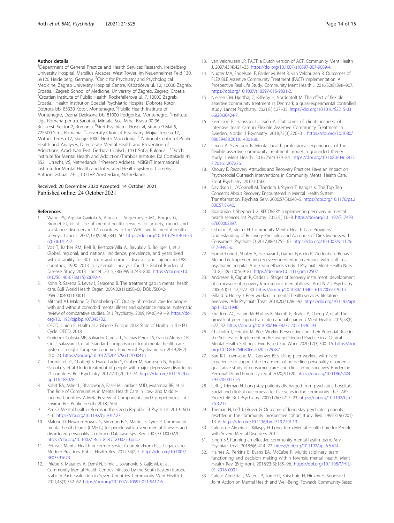#### <span id="page-13-0"></span>Author details

<sup>1</sup>Department of General Practice and Health Services Research, Heidelberg University Hospital, Marsilius Arcades, West Tower, Im Neuenheimer Feld 130, 69120 Heidelberg, Germany. <sup>2</sup>Clinic for Psychiatry and Psychological Medicine, Zagreb University Hospital Centre, Kišpatićeva ul. 12, 10000 Zagreb, Croatia. <sup>3</sup>Zagreb School of Medicine, University of Zagreb, Zagreb, Croatia.<br><sup>4</sup>Croatian Institute of Bublic Hoalth, Bockefellerova ul. 7, 10000 Zagreb. <sup>4</sup>Croatian Institute of Public Health, Rockefellerova ul. 7, 10000 Zagreb, Croatia. <sup>5</sup>Health Institution Special Psychiatric Hospital Dobrota Kotor, Dobrota bb, 85330 Kotor, Montenegro. <sup>6</sup>Public Health Institute of Montenegro, Dzona Dzeksona bb, 81000 Podgorica, Montenegro. <sup>7</sup>Institute Liga Romana pentru Sanatate Mintala, Sos. Mihai Bravu 90-96, Bucuresti-Sector 2, Romania. <sup>8</sup>Siret Psychiatric Hospital, Strada 9 Mai 5, 725500 Siret, Romania. <sup>9</sup>University Clinic of Psychiatry, Мајка Тереза 17, Mother Teresa 17, Skopje 1000, North Macedonia. <sup>10</sup>National Centre of Public Health and Analyses, Directorate Mental Health and Prevention of Addictions, Acad. Ivan Evst. Geshov 15 blvd., 1431 Sofia, Bulgaria. <sup>11</sup>Dutch Institute for Mental Health and Addiction/Trimbos Institute, Da Costakade 45, 3521 Utrecht, VS, Netherlands. 12Present Address: INSIGHT International Institute for Mental Health and Integrated Health Systems, Cornelis Anthoniszstraat 23-1, 1071VP Amsterdam, Netherlands.

#### Received: 20 December 2020 Accepted: 14 October 2021 Published online: 24 October 2021

#### References

- 1. Wang PS, Aguilar-Gaxiola S, Alonso J, Angermeyer MC, Borges G, Bromet EJ, et al. Use of mental health services for anxiety, mood, and substance disorders in 17 countries in the WHO world mental health surveys. Lancet. 2007;370(9590):841–50. [https://doi.org/10.1016/S0140-673](https://doi.org/10.1016/S0140-6736(07)61414-7) [6\(07\)61414-7](https://doi.org/10.1016/S0140-6736(07)61414-7).
- 2. Vos T, Barber RM, Bell B, Bertozzi-Villa A, Biryukov S, Bolliger I, et al. Global, regional, and national incidence, prevalence, and years lived with disability for 301 acute and chronic diseases and injuries in 188 countries, 1990–2013: a systematic analysis for the Global Burden of Disease Study 2013. Lancet. 2015;386(9995):743–800. [https://doi.org/10.1](https://doi.org/10.1016/S0140-6736(15)60692-4) [016/S0140-6736\(15\)60692-4](https://doi.org/10.1016/S0140-6736(15)60692-4).
- 3. Kohn R, Saxena S, Levav I, Saraceno B. The treatment gap in mental health care. Bull World Health Organ. 2004;82(11):858–66 DOI: /S0042- 96862004001100011.
- 4. Mitchell AJ, Malone D, Doebbeling CC. Quality of medical care for people with and without comorbid mental illness and substance misuse: systematic review of comparative studies. Br J Psychiatry. 2009;194(6):491–9. [https://doi.](https://doi.org/10.1192/bjp.bp.107.045732) [org/10.1192/bjp.bp.107.045732](https://doi.org/10.1192/bjp.bp.107.045732).
- 5. OECD, Union E. Health at a Glance: Europe 2018 State of Health in the EU Cycle: OECD; 2018.
- 6. Gutierrez-Colosia MR, Salvador-Carulla L, Salinas-Perez JA, Garcia-Alonso CR, Cid J, Salazzari D, et al. Standard comparison of local mental health care systems in eight European countries. Epidemiol Psychiatric Sci. 2019;28(2): 210–23. [https://doi.org/10.1017/S2045796017000415.](https://doi.org/10.1017/S2045796017000415)
- 7. Thornicroft G, Chatterji S, Evans-Lacko S, Gruber M, Sampson N, Aguilar-Gaxiola S, et al. Undertreatment of people with major depressive disorder in 21 countries. Br J Psychiatry. 2017;210(2):119–24. [https://doi.org/10.1192/bjp.](https://doi.org/10.1192/bjp.bp.116.188078) [bp.116.188078](https://doi.org/10.1192/bjp.bp.116.188078).
- 8. Kohrt BA, Asher L, Bhardwaj A, Fazel M, Jordans MJD, Mutamba BB, et al. The Role of Communities in Mental Health Care in Low- and Middle-Income Countries: A Meta-Review of Components and Competencies. Int J Environ Res Public Health. 2018;15(6).
- Pec O. Mental health reforms in the Czech Republic. BJPsych Int. 2019;16(1): 4–6. <https://doi.org/10.1192/bji.2017.27>.
- 10. Malone D, Newron-Howes G, Simmonds S, Marriot S, Tyrer P. Community mental health teams (CMHTs) for people with severe mental illnesses and disordered personality. Cochrane Database Syst Rev. 2007;3:CD000270. <https://doi.org/10.1002/14651858.CD000270.pub2>.
- 11. Petrea I. Mental Health in Former Soviet Countries:From Past Legacies to Modern Practices. Public Health Rev. 2012;34(2):5. [https://doi.org/10.1007/](https://doi.org/10.1007/BF03391673) [BF03391673.](https://doi.org/10.1007/BF03391673)
- 12. Priebe S, Matanov A, Demi N, Simic J, Jovanovic S, Gajic M, et al. Community Mental Health Centres Initiated by the South-Eastern Europe Stability Pact: Evaluation in Seven Countries. Community Ment Health J. 2011;48(3):352–62. <https://doi.org/10.1007/s10597-011-9417-6>.
- 13. van Veldhuizen JR. FACT: a Dutch version of ACT. Community Ment Health J. 2007;43(4):421–33. [https://doi.org/10.1007/s10597-007-9089-4.](https://doi.org/10.1007/s10597-007-9089-4)
- 14. Nugter MA, Engelsbel F, Bähler M, Keet R, van Veldhuizen R. Outcomes of FLEXIBLE Assertive Community Treatment (FACT) Implementation: A Prospective Real Life Study. Community Ment Health J. 2016;52(8):898–907. <https://doi.org/10.1007/s10597-015-9831-2>.
- 15. Nielsen CM, Hjorthøj C, Killaspy H, Nordentoft M. The effect of flexible assertive community treatment in Denmark: a quasi-experimental controlled study. Lancet Psychiatry. 2021;8(1):27–35. [https://doi.org/10.1016/S2215-03](https://doi.org/10.1016/S2215-0366(20)30424-7) [66\(20\)30424-7.](https://doi.org/10.1016/S2215-0366(20)30424-7)
- 16. Svensson B, Hansson L, Lexén A. Outcomes of clients in need of intensive team care in Flexible Assertive Community Treatment in Sweden. Nordic J Psychiatry. 2018;72(3):226–31. [https://doi.org/10.1080/](https://doi.org/10.1080/08039488.2018.1430168) [08039488.2018.1430168.](https://doi.org/10.1080/08039488.2018.1430168)
- 17. Lexén A, Svensson B. Mental health professional experiences of the flexible assertive community treatment model: a grounded theory study. J Ment Health. 2016;25(4):379–84. [https://doi.org/10.1080/0963823](https://doi.org/10.1080/09638237.2016.1207236) [7.2016.1207236](https://doi.org/10.1080/09638237.2016.1207236).
- 18. Khoury E. Recovery Attitudes and Recovery Practices Have an Impact on Psychosocial Outreach Interventions in Community Mental Health Care. Front Psychiatry. 2019;10:560.
- 19. Davidson L, O'Connell M, Tondora J, Styron T, Kangas K. The Top Ten Concerns About Recovery Encountered in Mental Health System Transformation. Psychiatr Serv. 2006;57(5):640–5. [https://doi.org/10.1176/ps.2](https://doi.org/10.1176/ps.2006.57.5.640) [006.57.5.640.](https://doi.org/10.1176/ps.2006.57.5.640)
- 20. Boardman J, Shepherd G. RECOVERY: Implementing recovery in mental health services. Int Psychiatry. 2012;9(1):6–8. [https://doi.org/10.1192/S17493](https://doi.org/10.1192/S1749367600002897) [67600002897](https://doi.org/10.1192/S1749367600002897).
- 21. Osborn LA, Stein CH. Community Mental Health Care Providers' Understanding of Recovery Principles and Accounts of Directiveness with Consumers. Psychiatr Q. 2017;88(4):755–67. [https://doi.org/10.1007/s11126-](https://doi.org/10.1007/s11126-017-9495-x) [017-9495-x.](https://doi.org/10.1007/s11126-017-9495-x)
- 22. Hornik-Lurie T, Shalev A, Haknazar L, Garber Epstein P, Ziedenberg-Rehav L, Moran GS. Implementing recovery-oriented interventions with staff in a psychiatric hospital: A mixed-methods study. J Psychiatr Ment Health Nurs. 2018;25(9–10):569–81. [https://doi.org/10.1111/jpm.12502.](https://doi.org/10.1111/jpm.12502)
- 23. Andresen R, Caputi P, Oades L. Stages of recovery instrument: development of a measure of recovery from serious mental illness. Aust N Z J Psychiatry. 2006;40(11–12):972–80. <https://doi.org/10.1080/j.1440-1614.2006.01921.x>.
- 24. Gillard S, Holley J. Peer workers in mental health services: literature overview. Adv Psychiatr Treat. 2018;20(4):286–92. [https://doi.org/10.1192/apt.](https://doi.org/10.1192/apt.bp.113.011940) [bp.113.011940.](https://doi.org/10.1192/apt.bp.113.011940)
- 25. Stratford AC, Halpin M, Phillips K, Skerritt F, Beales A, Cheng V, et al. The growth of peer support: an international charter. J Ment Health. 2019;28(6): 627–32. <https://doi.org/10.1080/09638237.2017.1340593>.
- 26. Chisholm J, Petrakis M. Peer Worker Perspectives on Their Potential Role in the Success of Implementing Recovery-Oriented Practice in a Clinical Mental Health Setting. J Evid Based Soc Work. 2020;17(3):300–16. [https://doi.](https://doi.org/10.1080/26408066.2020.1729282) [org/10.1080/26408066.2020.1729282](https://doi.org/10.1080/26408066.2020.1729282).
- 27. Barr KR, Townsend ML, Grenyer BFS. Using peer workers with lived experience to support the treatment of borderline personality disorder: a qualitative study of consumer, carer and clinician perspectives. Borderline Personal Disord Emoti Dysregul. 2020;7(1):20. [https://doi.org/10.1186/s404](https://doi.org/10.1186/s40479-020-00135-5) [79-020-00135-5.](https://doi.org/10.1186/s40479-020-00135-5)
- 28. Leff J, Trieman N. Long-stay patients discharged from psychiatric hospitals: Social and clinical outcomes after five years in the community. the TAPS Project 46. Br J Psychiatry. 2000;176(3):217–23. [https://doi.org/10.1192/bjp.1](https://doi.org/10.1192/bjp.176.3.217) [76.3.217.](https://doi.org/10.1192/bjp.176.3.217)
- 29. Trieman N, Leff J, Glover G. Outcome of long stay psychiatric patients resettled in the community: prospective cohort study. BMJ. 1999;319(7201): 13–6. <https://doi.org/10.1136/bmj.319.7201.13>.
- 30. Caldas de Almeida J, Killaspy H. Long Term Mental Health Care for People with Severe Mental Disorders; 2011.
- 31. Singh SP. Running an effective community mental health team. Adv Psychiatr Treat. 2018;6(6):414–22. [https://doi.org/10.1192/apt.6.6.414.](https://doi.org/10.1192/apt.6.6.414)
- 32. Haines A, Perkins E, Evans EA, McCabe R. Multidisciplinary team functioning and decision making within forensic mental health. Ment Health Rev (Brighton). 2018;23(3):185–96. [https://doi.org/10.1108/MHRJ-](https://doi.org/10.1108/MHRJ-01-2018-0001)[01-2018-0001](https://doi.org/10.1108/MHRJ-01-2018-0001).
- 33. Caldas Almeida J, Mateus P, Tomé G, Katschnig H, Hinkov H, Sooniste I. Joint Action on Mental Health and Well-Being, Towards Community-Based